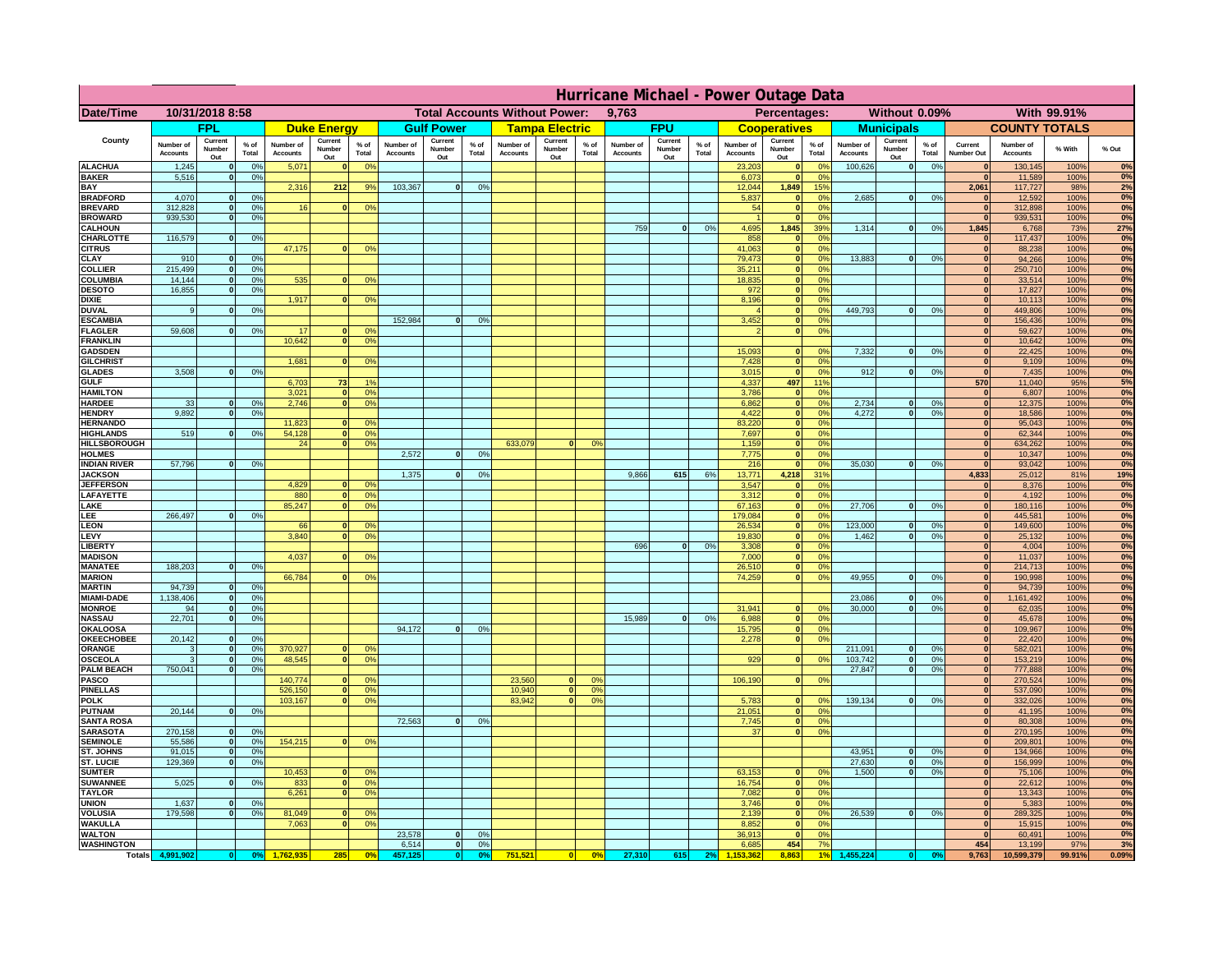|                                         | Hurricane Michael - Power Outage Data |                              |                      |                              |                                 |                                  |                                               |                          |                      |                              |                          |                                              |                              |                          |               |                              |                          |                                               |                              |                          |                 |                              |                              |              |             |
|-----------------------------------------|---------------------------------------|------------------------------|----------------------|------------------------------|---------------------------------|----------------------------------|-----------------------------------------------|--------------------------|----------------------|------------------------------|--------------------------|----------------------------------------------|------------------------------|--------------------------|---------------|------------------------------|--------------------------|-----------------------------------------------|------------------------------|--------------------------|-----------------|------------------------------|------------------------------|--------------|-------------|
| Date/Time                               | 10/31/2018 8:58                       |                              |                      |                              |                                 |                                  | <b>Total Accounts Without Power:</b><br>9,763 |                          |                      |                              |                          | With 99.91%<br>Percentages:<br>Without 0.09% |                              |                          |               |                              |                          |                                               |                              |                          |                 |                              |                              |              |             |
|                                         |                                       | <b>FPL</b>                   |                      |                              | <b>Duke Energy</b>              |                                  |                                               | <b>Gulf Power</b>        |                      |                              | <b>Tampa Electric</b>    |                                              |                              | <b>FPU</b>               |               |                              | <b>Cooperatives</b>      |                                               |                              | <b>Municipals</b>        |                 |                              | <b>COUNTY TOTALS</b>         |              |             |
| County                                  | Number of<br><b>Accounts</b>          | Current<br>Number<br>Out     | $%$ of<br>Total      | Number of<br><b>Accounts</b> | Current<br><b>Number</b><br>Out | $%$ of<br>Total                  | Number of<br><b>Accounts</b>                  | Current<br>Number<br>Out | $%$ of<br>Total      | Number of<br><b>Accounts</b> | Current<br>Number<br>Out | $%$ of<br>Total                              | Number of<br><b>Accounts</b> | Current<br>Number<br>Out | % of<br>Total | Number of<br><b>Accounts</b> | Current<br>Number<br>Out | $%$ of<br>Total                               | Number of<br><b>Accounts</b> | Current<br>Number<br>Out | $%$ of<br>Total | Current<br>Number Out        | Number of<br><b>Accounts</b> | % With       | % Out       |
| <b>ALACHUA</b><br><b>BAKER</b>          | 1,245<br>5,516                        | $\mathbf{0}$<br>$\mathbf{0}$ | 0%<br>0%             | 5,071                        |                                 | 0 <sup>9</sup>                   |                                               |                          |                      |                              |                          |                                              |                              |                          |               | 23,203<br>6,073              | $\bf{0}$<br>$\bf{0}$     | $^{\circ}$<br>0 <sup>9</sup>                  | 100,626                      | 0                        | 0%              | $\mathbf{0}$<br>$\mathbf{0}$ | 130,145<br>11,589            | 100%<br>100% | 0%<br>0%    |
| BAY                                     |                                       |                              |                      | 2,316                        | 212                             | 9%                               | 103,367                                       | 0                        | 0%                   |                              |                          |                                              |                              |                          |               | 12,044                       | 1,849                    | 15%                                           |                              |                          |                 | 2,061                        | 117,727                      | 98%          | 2%          |
| <b>BRADFORD</b><br><b>BREVARD</b>       | 4,070<br>312.828                      | $\Omega$<br>$\mathbf{0}$     | 0%<br>0 <sup>9</sup> | 16                           | $\Omega$                        | 0 <sup>o</sup>                   |                                               |                          |                      |                              |                          |                                              |                              |                          |               | 5,837<br>54                  | $\mathbf{0}$<br> 0       | 0 <sup>9</sup><br>0 <sup>9</sup>              | 2,685                        | 0                        | 0%              | $\Omega$<br> 0               | 12,592<br>312,898            | 100%<br>100% | 0%<br>0%    |
| <b>BROWARD</b>                          | 939.530                               | $\mathbf{0}$                 | 0%                   |                              |                                 |                                  |                                               |                          |                      |                              |                          |                                              |                              |                          |               |                              | 0                        | 0%                                            |                              |                          |                 | 0                            | 939,531                      | 100%         | 0%          |
| <b>CALHOUN</b><br>CHARLOTTE             | 116,579                               | $\mathbf{0}$                 | 0%                   |                              |                                 |                                  |                                               |                          |                      |                              |                          |                                              | 759                          | 0                        | 0%            | 4,695<br>858                 | 1,845<br> 0              | 39%<br>0%                                     | 1,314                        | 0                        | 0%              | 1,845<br> 0                  | 6,768<br>117,437             | 73%<br>100%  | 27%<br>0%   |
| <b>CITRUS</b>                           |                                       |                              |                      | 47,175                       |                                 | 0 <sup>o</sup>                   |                                               |                          |                      |                              |                          |                                              |                              |                          |               | 41.063                       | 0                        | 0 <sup>9</sup>                                |                              |                          |                 | $\mathbf{0}$                 | 88.238                       | 100%         | 0%          |
| CLAY                                    | 910                                   |                              | 0 <sup>9</sup>       |                              |                                 |                                  |                                               |                          |                      |                              |                          |                                              |                              |                          |               | 79,473                       | 0                        | 0%                                            | 13,883                       | 0                        | 0%              | $\mathbf{0}$                 | 94,266                       | 100%         | 0%          |
| <b>COLLIER</b><br>COLUMBIA              | 215,499<br>14,144                     |                              | 0%<br>0%             | 535                          |                                 | 0 <sup>o</sup>                   |                                               |                          |                      |                              |                          |                                              |                              |                          |               | 35,211<br>18,835             | 0 <br> 0                 | 0 <sup>9</sup><br>0 <sup>9</sup>              |                              |                          |                 | $\mathbf{0}$<br>$\mathbf{0}$ | 250,710<br>33,514            | 100%<br>100% | 0%<br>0%    |
| <b>DESOTO</b>                           | 16,855                                |                              | 0%                   |                              |                                 |                                  |                                               |                          |                      |                              |                          |                                              |                              |                          |               | 972                          | 0                        | 0 <sup>9</sup>                                |                              |                          |                 | $\mathbf{0}$                 | 17,827                       | 100%         | 0%          |
| <b>DIXIE</b><br><b>DUVAL</b>            | 9                                     |                              | 0 <sup>9</sup>       | 1,917                        |                                 | 0 <sup>o</sup>                   |                                               |                          |                      |                              |                          |                                              |                              |                          |               | 8,196                        | 0 <br> 0                 | 0 <sup>9</sup><br>0 <sup>o</sup>              | 449,793                      | 0                        | 0%              | $\mathbf{0}$<br>$\mathbf{0}$ | 10,113<br>449,806            | 100%<br>100% | 0%<br>0%    |
| <b>ESCAMBIA</b>                         |                                       |                              |                      |                              |                                 |                                  | 152,984                                       | $\Omega$                 | 0 <sup>9</sup>       |                              |                          |                                              |                              |                          |               | 3,452                        | $\mathbf{0}$             | 0 <sup>o</sup>                                |                              |                          |                 | $\mathbf{0}$                 | 156,436                      | 100%         | $0\%$       |
| <b>FLAGLER</b><br><b>FRANKLIN</b>       | 59,608                                | $\mathbf{0}$                 | 0 <sup>9</sup>       | 17<br>10,642                 |                                 | 0 <sup>9</sup><br>0 <sup>9</sup> |                                               |                          |                      |                              |                          |                                              |                              |                          |               |                              | 0                        | 0 <sup>9</sup>                                |                              |                          |                 | $\mathbf{0}$<br>$\mathbf{0}$ | 59,627<br>10,642             | 100%<br>100% | 0%<br>0%    |
| <b>GADSDEN</b>                          |                                       |                              |                      |                              |                                 |                                  |                                               |                          |                      |                              |                          |                                              |                              |                          |               | 15,093                       | $\mathbf{0}$             | 0 <sup>9</sup>                                | 7,332                        | 0                        | 0%              | 0                            | 22,425                       | 100%         | 0%          |
| <b>GILCHRIST</b>                        |                                       |                              |                      | 1.681                        |                                 | 0 <sup>9</sup>                   |                                               |                          |                      |                              |                          |                                              |                              |                          |               | 7,428                        | 0                        | 0 <sup>9</sup>                                |                              |                          |                 | 0                            | 9,109                        | 100%         | 0%          |
| <b>GLADES</b><br><b>GULF</b>            | 3.508                                 |                              | 0%                   | 6,703                        | 73                              | 1 <sup>°</sup>                   |                                               |                          |                      |                              |                          |                                              |                              |                          |               | 3,015<br>4,337               | 0 <br>497                | 0%<br>119                                     | 912                          | 0                        | 0%              | 0 <br>570                    | 7,435<br>11,040              | 100%<br>95%  | 0%<br>5%    |
| <b>HAMILTON</b>                         |                                       |                              |                      | 3,021                        | $\sqrt{2}$                      | 0 <sup>9</sup>                   |                                               |                          |                      |                              |                          |                                              |                              |                          |               | 3,786                        | 0                        | 0%                                            |                              |                          |                 | 0                            | 6,807                        | 100%         | 0%          |
| <b>HARDEE</b><br><b>HENDRY</b>          | 33<br>9.892                           | $\mathbf{0}$<br>$\Omega$     | 0%<br>0 <sup>9</sup> | 2,746                        | $\Omega$                        | 0 <sup>9</sup>                   |                                               |                          |                      |                              |                          |                                              |                              |                          |               | 6,862<br>4,422               |                          | 0 <br>0%<br> 0 <br>0%                         | 2,734<br>4.272               | $\mathbf{0}$<br> 0       | 0%<br>0%        | 0 <br> 0                     | 12,375<br>18,586             | 100%<br>100% | 0%<br>0%    |
| <b>HERNANDO</b>                         |                                       |                              |                      | 11,823                       |                                 | 0 <sup>o</sup>                   |                                               |                          |                      |                              |                          |                                              |                              |                          |               | 83,220                       |                          | 0 <br>0 <sup>9</sup>                          |                              |                          |                 | 0                            | 95,043                       | 100%         | 0%          |
| <b>HIGHLANDS</b><br><b>HILLSBOROUGH</b> | 519                                   | $\Omega$                     | 0%                   | 54,128<br>24                 |                                 | 0 <sup>9</sup><br>0 <sup>9</sup> |                                               |                          |                      | 633,079                      | $\Omega$                 | 0 <sup>9</sup>                               |                              |                          |               | 7,697<br>1,159               |                          | 0 <br>0 <sup>9</sup><br> 0 <br>0 <sup>9</sup> |                              |                          |                 | 0 <br> 0                     | 62,344<br>634,262            | 100%<br>100% | 0%<br>0%    |
| <b>HOLMES</b>                           |                                       |                              |                      |                              |                                 |                                  | 2,572                                         | $\Omega$                 | 0 <sup>9</sup>       |                              |                          |                                              |                              |                          |               | 7,775                        |                          | 0 <br>0 <sup>9</sup>                          |                              |                          |                 | $\mathbf{0}$                 | 10,347                       | 100%         | 0%          |
| <b>INDIAN RIVER</b>                     | 57,796                                |                              | 0%                   |                              |                                 |                                  |                                               | $\Omega$                 |                      |                              |                          |                                              |                              |                          |               | 216                          | 0                        | 0 <sup>9</sup>                                | 35,030                       | $\mathbf{0}$             | 0%              | $\mathbf{0}$                 | 93,042                       | 100%         | 0%<br>19%   |
| <b>JACKSON</b><br><b>JEFFERSON</b>      |                                       |                              |                      | 4.829                        |                                 | 0 <sup>9</sup>                   | 1,375                                         |                          | 0 <sup>9</sup>       |                              |                          |                                              | 9,866                        | 615                      | 6%            | 13,771<br>3.547              | 4,218<br>$\mathbf{0}$    | 31%<br>0%                                     |                              |                          |                 | 4,833<br>$\mathbf{0}$        | 25,012<br>8,376              | 81%<br>100%  | 0%          |
| LAFAYETTE                               |                                       |                              |                      | 880                          | n.                              | 0 <sup>9</sup>                   |                                               |                          |                      |                              |                          |                                              |                              |                          |               | 3.312                        |                          | $\mathbf{0}$<br>0%                            |                              |                          |                 | 0                            | 4,192                        | 100%         | 0%          |
| LAKE<br>LEE                             | 266,497                               |                              | 0%                   | 85,247                       |                                 | 0%                               |                                               |                          |                      |                              |                          |                                              |                              |                          |               | 67,163<br>179,084            |                          | 0 <br>0%<br>0%<br> 0                          | 27,706                       | $\mathbf{0}$             | 0%              | 0 <br> 0                     | 180,116<br>445,581           | 100%<br>100% | 0%<br>0%    |
| <b>LEON</b>                             |                                       |                              |                      | 66                           |                                 | 0 <sup>9</sup>                   |                                               |                          |                      |                              |                          |                                              |                              |                          |               | 26,534                       |                          | 0 <br>0%                                      | 123,000                      | $\mathbf{0}$             | 0%              | 0                            | 149,600                      | 100%         | 0%          |
| LEVY<br><b>LIBERT</b>                   |                                       |                              |                      | 3,840                        |                                 | 0 <sup>9</sup>                   |                                               |                          |                      |                              |                          |                                              | 696                          | $\Omega$                 | 0%            | 19,830<br>3,308              |                          | 0%<br> 0 <br>0%<br> 0                         | 1,462                        | $\mathbf{0}$             | 0%              | 0 <br> 0                     | 25,132<br>4,004              | 100%<br>100% | 0%<br>0%    |
| <b>MADISON</b>                          |                                       |                              |                      | 4,037                        |                                 | 0 <sup>o</sup>                   |                                               |                          |                      |                              |                          |                                              |                              |                          |               | 7,000                        |                          | 0%<br> 0                                      |                              |                          |                 | 0                            | 11,037                       | 100%         | 0%          |
| <b>MANATEE</b><br><b>MARION</b>         | 188,203                               | $\mathbf{0}$                 | 0 <sup>9</sup>       | 66,784                       |                                 | 0 <sup>9</sup>                   |                                               |                          |                      |                              |                          |                                              |                              |                          |               | 26,510<br>74,259             |                          | 0%<br> 0 <br> 0 <br>0%                        | 49,955                       | 0                        | 0%              | 0 <br>$\mathbf{0}$           | 214,713<br>190,998           | 100%<br>100% | 0%<br>0%    |
| <b>MARTIN</b>                           | 94,739                                | $\mathbf{0}$                 | 0 <sup>9</sup>       |                              |                                 |                                  |                                               |                          |                      |                              |                          |                                              |                              |                          |               |                              |                          |                                               |                              |                          |                 | 0                            | 94,739                       | 100%         | 0%          |
| <b>MIAMI-DADE</b>                       | 1,138,406                             | 0 <br>-ol                    | 0%                   |                              |                                 |                                  |                                               |                          |                      |                              |                          |                                              |                              |                          |               |                              | $\mathbf{0}$             | 0 <sup>9</sup>                                | 23,086                       | 0 <br> 0                 | 0%              | 0 <br>$\mathbf{0}$           | 1,161,492                    | 100%         | 0%<br>0%    |
| <b>MONROE</b><br><b>NASSAU</b>          | 94<br>22,701                          | 0                            | 0%<br>0%             |                              |                                 |                                  |                                               |                          |                      |                              |                          |                                              | 15,989                       | 0                        | 0%            | 31,941<br>6,988              |                          | 0 <br>0%                                      | 30,000                       |                          | 0%              | 0                            | 62,035<br>45,678             | 100%<br>100% | 0%          |
| <b>OKALOOSA</b>                         |                                       |                              |                      |                              |                                 |                                  | 94,172                                        | 0                        | 0%                   |                              |                          |                                              |                              |                          |               | 15,795                       |                          | 0%<br> 0                                      |                              |                          |                 | 0                            | 109,967                      | 100%         | 0%          |
| <b>OKEECHOBEE</b><br>ORANGE             | 20,142<br>3                           | 0<br> 0                      | 0%<br>0%             | 370,927                      |                                 | 0 <sup>9</sup>                   |                                               |                          |                      |                              |                          |                                              |                              |                          |               | 2,278                        |                          | 0%<br> 0                                      | 211,091                      | 0                        | 0%              | 0 <br> 0                     | 22,420<br>582,021            | 100%<br>100% | 0%<br>0%    |
| <b>OSCEOLA</b>                          | 3                                     | 0                            | 0%                   | 48,545                       | $\bullet$                       | 0%                               |                                               |                          |                      |                              |                          |                                              |                              |                          |               | 929                          |                          | 0 <br>0%                                      | 103,742                      | 0                        | 0%              | 0                            | 153,219                      | 100%         | 0%          |
| <b>PALM BEACH</b><br><b>PASCO</b>       | 750,041                               | 0                            | 0%                   | 140,774                      |                                 | 0 <sup>9</sup>                   |                                               |                          |                      | 23,560                       | $\mathbf{0}$             | O <sup>o</sup>                               |                              |                          |               | 106,190                      |                          | 0%<br> 0                                      | 27,847                       | 0                        | 0%              | 0 <br> 0                     | 777,888<br>270,524           | 100%<br>100% | 0%<br>0%    |
| <b>PINELLAS</b>                         |                                       |                              |                      | 526,150                      | $\mathbf{0}$                    | 0%                               |                                               |                          |                      | 10,940                       | 0                        | 0 <sup>9</sup>                               |                              |                          |               |                              |                          |                                               |                              |                          |                 | 0                            | 537,090                      | 100%         | 0%          |
| <b>POLK</b><br><b>PUTNAM</b>            | 20,144                                | 0                            | 0%                   | 103,167                      | $\Omega$                        | 0 <sup>9</sup>                   |                                               |                          |                      | 83,942                       | 0                        | 0 <sup>o</sup>                               |                              |                          |               | 5,783<br>21,051              |                          | 0 <br>$^{\circ}$<br>0 <sup>9</sup><br> 0      | 139,134                      | 0                        | 0%              | 0                            | 332,026<br>41,195            | 100%<br>100% | 0%<br>0%    |
| <b>SANTA ROSA</b>                       |                                       |                              |                      |                              |                                 |                                  | 72,563                                        | 0                        | 0%                   |                              |                          |                                              |                              |                          |               | 7,745                        |                          | 0 <sup>9</sup><br> 0                          |                              |                          |                 | 0 <br>$\Omega$               | 80,308                       | 100%         | 0%          |
| <b>SARASOTA</b>                         | 270,158                               | 0                            | 0 <sup>9</sup>       |                              |                                 |                                  |                                               |                          |                      |                              |                          |                                              |                              |                          |               | 37                           |                          | 0%<br> 0                                      |                              |                          |                 | $\mathbf{0}$                 | 270,195                      | 100%         | 0%<br>0%    |
| <b>SEMINOLE</b><br>ST. JOHNS            | 55,586<br>91,015                      | 0 <br> 0                     | 0 <sup>9</sup><br>0% | 154,215                      | $\mathbf{0}$                    | 0 <sup>9</sup>                   |                                               |                          |                      |                              |                          |                                              |                              |                          |               |                              |                          |                                               | 43,951                       | 0                        | 0%              | 0 <br>$\mathbf{0}$           | 209,801<br>134,966           | 100%<br>100% | 0%          |
| ST. LUCIE                               | 129,369                               | $\mathbf{0}$                 | 0%                   |                              |                                 |                                  |                                               |                          |                      |                              |                          |                                              |                              |                          |               |                              |                          |                                               | 27,630                       | 0                        | 0%              | $\mathbf{0}$                 | 156,999                      | 100%         | 0%          |
| <b>SUMTER</b><br><b>SUWANNEE</b>        | 5,025                                 | $\Omega$                     | 0%                   | 10,453<br>833                | $\mathbf{0}$                    | 0 <sup>9</sup><br>0 <sup>9</sup> |                                               |                          |                      |                              |                          |                                              |                              |                          |               | 63,153<br>16,754             |                          | 0 <sup>9</sup><br>$\mathbf{0}$<br> 0 <br>0%   | 1.500                        | 0                        | 0%              | 0 <br>$\mathbf{0}$           | 75,106<br>22,612             | 100%<br>100% | 0%<br>0%    |
| <b>TAYLOR</b>                           |                                       |                              |                      | 6,261                        |                                 | 0%                               |                                               |                          |                      |                              |                          |                                              |                              |                          |               | 7,082                        | 0                        | 0%                                            |                              |                          |                 | 0                            | 13,343                       | 100%         | 0%          |
| <b>UNION</b><br><b>VOLUSIA</b>          | 1.637<br>179.598                      | $\mathbf{0}$<br>$\mathbf{0}$ | 0%<br>0%             | 81,049                       |                                 | 0 <sup>9</sup>                   |                                               |                          |                      |                              |                          |                                              |                              |                          |               | 3.746<br>2.139               |                          | 0%<br> 0 <br> 0 <br>0%                        | 26.539                       | 0                        | 0%              | $\mathbf{0}$<br>$\mathbf{0}$ | 5,383<br>289,325             | 100%<br>100% | $0\%$<br>0% |
| <b>WAKULLA</b>                          |                                       |                              |                      | 7,063                        |                                 | 0 <sup>o</sup>                   |                                               |                          |                      |                              |                          |                                              |                              |                          |               | 8,852                        | 0                        | 0%                                            |                              |                          |                 | $\mathbf{0}$                 | 15,915                       | 100%         | 0%          |
| <b>WALTON</b>                           |                                       |                              |                      |                              |                                 |                                  | 23,578                                        | 0                        | 0 <sup>9</sup>       |                              |                          |                                              |                              |                          |               | 36,913                       | 0                        | 0%<br>7%                                      |                              |                          |                 | 0                            | 60,491                       | 100%<br>97%  | 0%          |
| <b>WASHINGTON</b><br><b>Totals</b>      | 4,991,902                             | 0                            | 0 <sup>o</sup>       |                              | 285                             | 0 <sup>5</sup>                   | 6,514<br>457,125                              | 0 <br> 0                 | 0%<br>0 <sup>9</sup> | 751,521                      | 0                        | 0%                                           | 27,310                       | 615                      | 2%            | 6,685                        | 454<br>8,863             |                                               | 1,455,224                    |                          |                 | 454<br>9,763                 | 13,199<br>10,599,379         | 99.91%       | 3%<br>0.09% |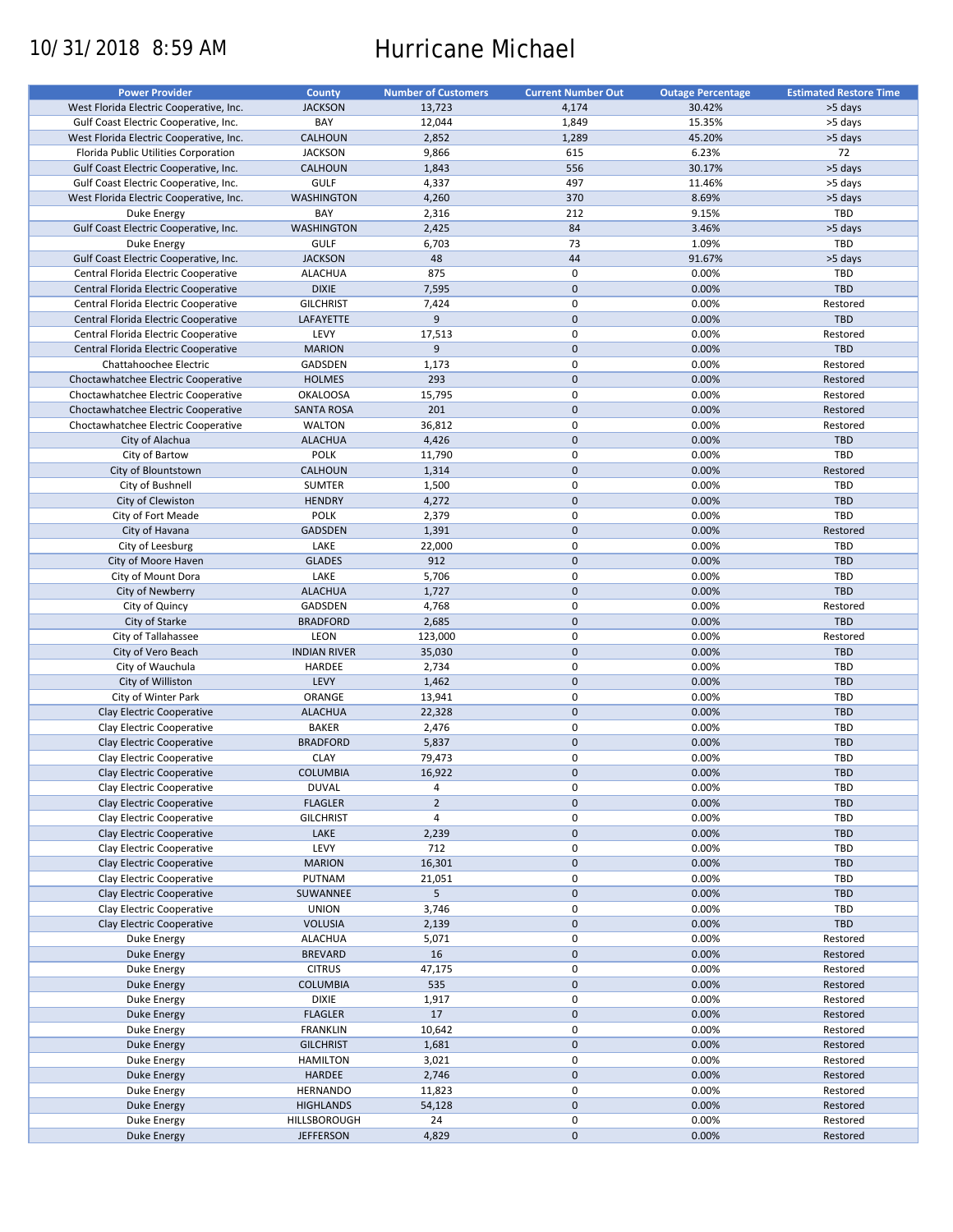# 10/31/2018 8:59 AM Hurricane Michael

| <b>Power Provider</b>                   | County              | <b>Number of Customers</b> | <b>Current Number Out</b> | <b>Outage Percentage</b> | <b>Estimated Restore Time</b> |
|-----------------------------------------|---------------------|----------------------------|---------------------------|--------------------------|-------------------------------|
| West Florida Electric Cooperative, Inc. | <b>JACKSON</b>      | 13,723                     | 4,174                     | 30.42%                   | >5 days                       |
| Gulf Coast Electric Cooperative, Inc.   | BAY                 | 12,044                     | 1,849                     | 15.35%                   | >5 days                       |
| West Florida Electric Cooperative, Inc. | <b>CALHOUN</b>      | 2,852                      | 1,289                     | 45.20%                   | >5 days                       |
| Florida Public Utilities Corporation    | <b>JACKSON</b>      | 9,866                      | 615                       | 6.23%                    | 72                            |
| Gulf Coast Electric Cooperative, Inc.   | <b>CALHOUN</b>      | 1,843                      | 556                       | 30.17%                   | >5 days                       |
| Gulf Coast Electric Cooperative, Inc.   | <b>GULF</b>         | 4,337                      | 497                       | 11.46%                   | >5 days                       |
| West Florida Electric Cooperative, Inc. | <b>WASHINGTON</b>   | 4,260                      | 370                       | 8.69%                    | >5 days                       |
| Duke Energy                             | BAY                 | 2,316                      | 212                       | 9.15%                    | TBD                           |
| Gulf Coast Electric Cooperative, Inc.   | <b>WASHINGTON</b>   | 2,425                      | 84                        | 3.46%                    | >5 days                       |
| Duke Energy                             | <b>GULF</b>         | 6,703                      | 73                        | 1.09%                    | TBD                           |
| Gulf Coast Electric Cooperative, Inc.   | <b>JACKSON</b>      | 48                         | 44                        | 91.67%                   | >5 days                       |
| Central Florida Electric Cooperative    | <b>ALACHUA</b>      | 875                        | 0                         | 0.00%                    | <b>TBD</b>                    |
| Central Florida Electric Cooperative    | <b>DIXIE</b>        | 7,595                      | $\mathbf 0$               | 0.00%                    | TBD                           |
| Central Florida Electric Cooperative    | <b>GILCHRIST</b>    | 7,424                      | 0                         | 0.00%                    | Restored                      |
| Central Florida Electric Cooperative    | LAFAYETTE           | 9                          | $\mathbf 0$               | 0.00%                    | <b>TBD</b>                    |
|                                         | LEVY                |                            | $\pmb{0}$                 | 0.00%                    | Restored                      |
| Central Florida Electric Cooperative    |                     | 17,513<br>$\overline{9}$   | $\mathbf 0$               |                          | TBD                           |
| Central Florida Electric Cooperative    | <b>MARION</b>       |                            |                           | 0.00%                    |                               |
| Chattahoochee Electric                  | GADSDEN             | 1,173                      | $\pmb{0}$                 | 0.00%                    | Restored                      |
| Choctawhatchee Electric Cooperative     | <b>HOLMES</b>       | 293                        | $\mathbf 0$               | 0.00%                    | Restored                      |
| Choctawhatchee Electric Cooperative     | <b>OKALOOSA</b>     | 15,795                     | $\mathbf 0$               | 0.00%                    | Restored                      |
| Choctawhatchee Electric Cooperative     | <b>SANTA ROSA</b>   | 201                        | $\mathbf 0$               | 0.00%                    | Restored                      |
| Choctawhatchee Electric Cooperative     | <b>WALTON</b>       | 36,812                     | $\pmb{0}$                 | 0.00%                    | Restored                      |
| City of Alachua                         | <b>ALACHUA</b>      | 4,426                      | $\mathbf 0$               | 0.00%                    | <b>TBD</b>                    |
| City of Bartow                          | <b>POLK</b>         | 11,790                     | $\mathbf 0$               | 0.00%                    | TBD                           |
| City of Blountstown                     | <b>CALHOUN</b>      | 1,314                      | $\mathbf 0$               | 0.00%                    | Restored                      |
| City of Bushnell                        | <b>SUMTER</b>       | 1,500                      | $\pmb{0}$                 | 0.00%                    | TBD                           |
| City of Clewiston                       | <b>HENDRY</b>       | 4,272                      | $\mathbf 0$               | 0.00%                    | <b>TBD</b>                    |
| City of Fort Meade                      | <b>POLK</b>         | 2,379                      | $\mathbf 0$               | 0.00%                    | TBD                           |
| City of Havana                          | <b>GADSDEN</b>      | 1,391                      | $\mathbf 0$               | 0.00%                    | Restored                      |
| City of Leesburg                        | LAKE                | 22,000                     | $\pmb{0}$                 | 0.00%                    | TBD                           |
| City of Moore Haven                     | <b>GLADES</b>       | 912                        | $\mathbf 0$               | 0.00%                    | <b>TBD</b>                    |
| City of Mount Dora                      | LAKE                | 5,706                      | $\mathbf 0$               | 0.00%                    | TBD                           |
| City of Newberry                        | <b>ALACHUA</b>      | 1,727                      | $\mathbf 0$               | 0.00%                    | TBD                           |
| City of Quincy                          | GADSDEN             | 4,768                      | $\pmb{0}$                 | 0.00%                    | Restored                      |
| City of Starke                          | <b>BRADFORD</b>     | 2,685                      | $\mathbf 0$               | 0.00%                    | TBD                           |
| City of Tallahassee                     | LEON                | 123,000                    | $\mathbf 0$               | 0.00%                    | Restored                      |
| City of Vero Beach                      | <b>INDIAN RIVER</b> | 35,030                     | $\mathbf 0$               | 0.00%                    | TBD                           |
| City of Wauchula                        | HARDEE              | 2,734                      | $\pmb{0}$                 | 0.00%                    | <b>TBD</b>                    |
| City of Williston                       | LEVY                | 1,462                      | $\mathbf 0$               | 0.00%                    | TBD                           |
| City of Winter Park                     | ORANGE              | 13,941                     | $\mathbf 0$               | 0.00%                    | <b>TBD</b>                    |
| Clay Electric Cooperative               | <b>ALACHUA</b>      | 22,328                     | $\mathbf 0$               | 0.00%                    | <b>TBD</b>                    |
| Clay Electric Cooperative               | <b>BAKER</b>        | 2,476                      | 0                         | 0.00%                    | <b>TBD</b>                    |
| Clay Electric Cooperative               | <b>BRADFORD</b>     | 5,837                      | $\mathbf 0$               | 0.00%                    | <b>TBD</b>                    |
| Clay Electric Cooperative               | <b>CLAY</b>         | 79,473                     | 0                         | 0.00%                    | <b>TBD</b>                    |
| Clay Electric Cooperative               | <b>COLUMBIA</b>     | 16,922                     | $\mathbf{0}$              | 0.00%                    | <b>TBD</b>                    |
| Clay Electric Cooperative               | <b>DUVAL</b>        | 4                          | 0                         | 0.00%                    | <b>TBD</b>                    |
| Clay Electric Cooperative               | <b>FLAGLER</b>      | $\mathbf 2$                | $\pmb{0}$                 | 0.00%                    | <b>TBD</b>                    |
| Clay Electric Cooperative               | <b>GILCHRIST</b>    | 4                          | 0                         | 0.00%                    | <b>TBD</b>                    |
| Clay Electric Cooperative               |                     |                            | $\pmb{0}$                 | 0.00%                    |                               |
|                                         | LAKE                | 2,239                      |                           |                          | TBD                           |
| Clay Electric Cooperative               | LEVY                | 712                        | $\pmb{0}$                 | 0.00%                    | <b>TBD</b>                    |
| Clay Electric Cooperative               | <b>MARION</b>       | 16,301                     | $\pmb{0}$                 | 0.00%                    | TBD                           |
| Clay Electric Cooperative               | PUTNAM              | 21,051                     | 0                         | 0.00%                    | <b>TBD</b>                    |
| Clay Electric Cooperative               | SUWANNEE            | 5                          | $\pmb{0}$                 | 0.00%                    | <b>TBD</b>                    |
| Clay Electric Cooperative               | <b>UNION</b>        | 3,746                      | $\boldsymbol{0}$          | 0.00%                    | <b>TBD</b>                    |
| Clay Electric Cooperative               | <b>VOLUSIA</b>      | 2,139                      | $\pmb{0}$                 | 0.00%                    | TBD                           |
| Duke Energy                             | <b>ALACHUA</b>      | 5,071                      | 0                         | 0.00%                    | Restored                      |
| <b>Duke Energy</b>                      | <b>BREVARD</b>      | 16                         | $\pmb{0}$                 | 0.00%                    | Restored                      |
| Duke Energy                             | <b>CITRUS</b>       | 47,175                     | $\pmb{0}$                 | 0.00%                    | Restored                      |
| Duke Energy                             | COLUMBIA            | 535                        | $\pmb{0}$                 | 0.00%                    | Restored                      |
| Duke Energy                             | <b>DIXIE</b>        | 1,917                      | 0                         | 0.00%                    | Restored                      |
| Duke Energy                             | <b>FLAGLER</b>      | 17                         | $\pmb{0}$                 | 0.00%                    | Restored                      |
| Duke Energy                             | <b>FRANKLIN</b>     | 10,642                     | $\boldsymbol{0}$          | 0.00%                    | Restored                      |
| Duke Energy                             | <b>GILCHRIST</b>    | 1,681                      | $\pmb{0}$                 | 0.00%                    | Restored                      |
| Duke Energy                             | <b>HAMILTON</b>     | 3,021                      | 0                         | 0.00%                    | Restored                      |
| <b>Duke Energy</b>                      | HARDEE              | 2,746                      | $\pmb{0}$                 | 0.00%                    | Restored                      |
| Duke Energy                             | HERNANDO            | 11,823                     | $\boldsymbol{0}$          | 0.00%                    | Restored                      |
| <b>Duke Energy</b>                      | <b>HIGHLANDS</b>    | 54,128                     | $\pmb{0}$                 | 0.00%                    | Restored                      |
| Duke Energy                             | HILLSBOROUGH        | 24                         | 0                         | 0.00%                    | Restored                      |
| Duke Energy                             | <b>JEFFERSON</b>    | 4,829                      | $\pmb{0}$                 | 0.00%                    | Restored                      |
|                                         |                     |                            |                           |                          |                               |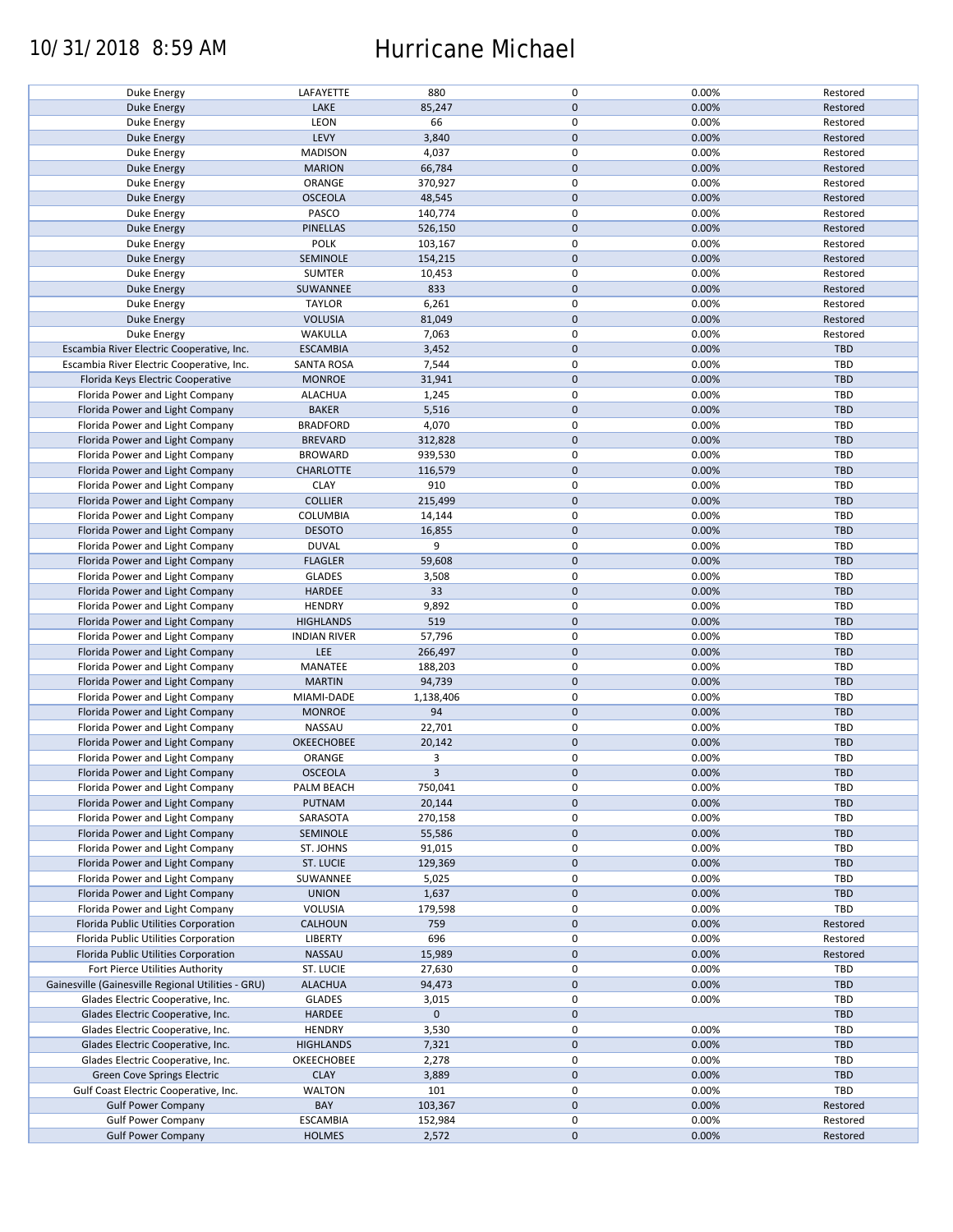### 10/31/2018 8:59 AM Hurricane Michael

| Duke Energy                                        | LAFAYETTE           | 880         | 0            | 0.00% | Restored   |
|----------------------------------------------------|---------------------|-------------|--------------|-------|------------|
|                                                    |                     |             |              |       |            |
| Duke Energy                                        | LAKE                | 85,247      | $\mathbf{0}$ | 0.00% | Restored   |
| Duke Energy                                        | LEON                | 66          | $\mathbf 0$  | 0.00% | Restored   |
| Duke Energy                                        | LEVY                | 3,840       | $\mathbf 0$  | 0.00% | Restored   |
| Duke Energy                                        | <b>MADISON</b>      | 4,037       | $\mathsf 0$  | 0.00% | Restored   |
|                                                    | <b>MARION</b>       | 66,784      | $\mathbf 0$  | 0.00% | Restored   |
| Duke Energy                                        |                     |             |              |       |            |
| Duke Energy                                        | ORANGE              | 370,927     | $\mathsf 0$  | 0.00% | Restored   |
| Duke Energy                                        | <b>OSCEOLA</b>      | 48,545      | $\mathbf 0$  | 0.00% | Restored   |
| Duke Energy                                        | PASCO               | 140,774     | $\mathsf 0$  | 0.00% | Restored   |
| Duke Energy                                        | <b>PINELLAS</b>     | 526,150     | $\mathbf 0$  | 0.00% | Restored   |
|                                                    |                     |             | $\pmb{0}$    |       |            |
| Duke Energy                                        | <b>POLK</b>         | 103,167     |              | 0.00% | Restored   |
| Duke Energy                                        | SEMINOLE            | 154,215     | $\mathbf 0$  | 0.00% | Restored   |
| Duke Energy                                        | <b>SUMTER</b>       | 10,453      | $\pmb{0}$    | 0.00% | Restored   |
| <b>Duke Energy</b>                                 | SUWANNEE            | 833         | $\mathbf 0$  | 0.00% | Restored   |
| Duke Energy                                        | <b>TAYLOR</b>       | 6,261       | $\mathbf 0$  | 0.00% | Restored   |
|                                                    |                     |             |              |       |            |
| Duke Energy                                        | <b>VOLUSIA</b>      | 81,049      | $\mathbf 0$  | 0.00% | Restored   |
| Duke Energy                                        | WAKULLA             | 7,063       | $\mathsf 0$  | 0.00% | Restored   |
| Escambia River Electric Cooperative, Inc.          | <b>ESCAMBIA</b>     | 3,452       | $\mathbf 0$  | 0.00% | <b>TBD</b> |
| Escambia River Electric Cooperative, Inc.          | <b>SANTA ROSA</b>   | 7,544       | $\mathsf 0$  | 0.00% | <b>TBD</b> |
| Florida Keys Electric Cooperative                  | <b>MONROE</b>       | 31,941      | $\mathbf 0$  | 0.00% | <b>TBD</b> |
|                                                    |                     |             |              |       |            |
| Florida Power and Light Company                    | <b>ALACHUA</b>      | 1,245       | $\mathsf 0$  | 0.00% | <b>TBD</b> |
| Florida Power and Light Company                    | <b>BAKER</b>        | 5,516       | $\mathbf 0$  | 0.00% | <b>TBD</b> |
| Florida Power and Light Company                    | <b>BRADFORD</b>     | 4,070       | $\pmb{0}$    | 0.00% | TBD        |
| Florida Power and Light Company                    | <b>BREVARD</b>      | 312,828     | $\mathbf 0$  | 0.00% | <b>TBD</b> |
| Florida Power and Light Company                    | <b>BROWARD</b>      | 939,530     | $\mathsf 0$  | 0.00% | TBD        |
|                                                    |                     |             |              |       |            |
| Florida Power and Light Company                    | <b>CHARLOTTE</b>    | 116,579     | $\mathbf 0$  | 0.00% | <b>TBD</b> |
| Florida Power and Light Company                    | <b>CLAY</b>         | 910         | $\pmb{0}$    | 0.00% | TBD        |
| Florida Power and Light Company                    | <b>COLLIER</b>      | 215,499     | $\mathbf 0$  | 0.00% | <b>TBD</b> |
| Florida Power and Light Company                    | COLUMBIA            | 14,144      | $\mathsf 0$  | 0.00% | <b>TBD</b> |
|                                                    |                     |             |              |       |            |
| Florida Power and Light Company                    | <b>DESOTO</b>       | 16,855      | $\pmb{0}$    | 0.00% | TBD        |
| Florida Power and Light Company                    | <b>DUVAL</b>        | 9           | $\mathsf 0$  | 0.00% | TBD        |
| Florida Power and Light Company                    | <b>FLAGLER</b>      | 59,608      | $\mathbf 0$  | 0.00% | <b>TBD</b> |
| Florida Power and Light Company                    | <b>GLADES</b>       | 3,508       | $\mathsf 0$  | 0.00% | TBD        |
| Florida Power and Light Company                    | <b>HARDEE</b>       | 33          | $\mathbf 0$  | 0.00% | <b>TBD</b> |
|                                                    |                     |             |              |       |            |
| Florida Power and Light Company                    | <b>HENDRY</b>       | 9,892       | $\pmb{0}$    | 0.00% | TBD        |
| Florida Power and Light Company                    | <b>HIGHLANDS</b>    | 519         | $\mathbf 0$  | 0.00% | <b>TBD</b> |
| Florida Power and Light Company                    | <b>INDIAN RIVER</b> | 57,796      | $\mathsf 0$  | 0.00% | TBD        |
| Florida Power and Light Company                    | LEE                 | 266,497     | $\pmb{0}$    | 0.00% | TBD        |
| Florida Power and Light Company                    | MANATEE             | 188,203     | $\mathsf 0$  | 0.00% | TBD        |
|                                                    |                     |             |              |       |            |
| Florida Power and Light Company                    | <b>MARTIN</b>       | 94,739      | $\mathbf 0$  | 0.00% | TBD        |
| Florida Power and Light Company                    | MIAMI-DADE          | 1,138,406   | $\mathbf 0$  | 0.00% | TBD        |
| Florida Power and Light Company                    | <b>MONROE</b>       | 94          | $\mathbf 0$  | 0.00% | <b>TBD</b> |
| Florida Power and Light Company                    | NASSAU              | 22,701      | $\pmb{0}$    | 0.00% | <b>TBD</b> |
| Florida Power and Light Company                    | <b>OKEECHOBEE</b>   | 20,142      | $\mathbf 0$  | 0.00% | TBD        |
|                                                    |                     |             |              |       |            |
| Florida Power and Light Company                    | ORANGE              | 3           | $\mathsf 0$  | 0.00% | <b>TBD</b> |
| Florida Power and Light Company                    | <b>OSCEOLA</b>      | 3           | $\mathbf{0}$ | 0.00% | TBD        |
| Florida Power and Light Company                    | PALM BEACH          | 750,041     | 0            | 0.00% | TBD        |
| Florida Power and Light Company                    | PUTNAM              | 20,144      | $\mathbf 0$  | 0.00% | TBD        |
| Florida Power and Light Company                    | SARASOTA            |             | $\mathsf 0$  | 0.00% | TBD        |
|                                                    |                     | 270,158     |              |       |            |
| Florida Power and Light Company                    | SEMINOLE            | 55,586      | $\mathbf 0$  | 0.00% | <b>TBD</b> |
| Florida Power and Light Company                    | ST. JOHNS           | 91,015      | 0            | 0.00% | TBD        |
| Florida Power and Light Company                    | <b>ST. LUCIE</b>    | 129,369     | $\mathbf 0$  | 0.00% | TBD        |
| Florida Power and Light Company                    | SUWANNEE            | 5,025       | 0            | 0.00% | TBD        |
|                                                    |                     |             |              |       |            |
| Florida Power and Light Company                    | <b>UNION</b>        | 1,637       | $\mathbf 0$  | 0.00% | TBD        |
| Florida Power and Light Company                    | VOLUSIA             | 179,598     | $\mathsf 0$  | 0.00% | TBD        |
| Florida Public Utilities Corporation               | <b>CALHOUN</b>      | 759         | $\mathbf 0$  | 0.00% | Restored   |
| Florida Public Utilities Corporation               | LIBERTY             | 696         | 0            | 0.00% | Restored   |
| Florida Public Utilities Corporation               | NASSAU              | 15,989      | $\mathbf 0$  | 0.00% | Restored   |
|                                                    |                     |             |              |       |            |
| Fort Pierce Utilities Authority                    | ST. LUCIE           | 27,630      | 0            | 0.00% | TBD        |
| Gainesville (Gainesville Regional Utilities - GRU) | <b>ALACHUA</b>      | 94,473      | $\mathbf 0$  | 0.00% | TBD        |
| Glades Electric Cooperative, Inc.                  | <b>GLADES</b>       | 3,015       | 0            | 0.00% | TBD        |
| Glades Electric Cooperative, Inc.                  | <b>HARDEE</b>       | $\mathbf 0$ | $\mathbf 0$  |       | TBD        |
|                                                    |                     |             | $\mathsf 0$  |       | TBD        |
| Glades Electric Cooperative, Inc.                  | <b>HENDRY</b>       | 3,530       |              | 0.00% |            |
| Glades Electric Cooperative, Inc.                  | <b>HIGHLANDS</b>    | 7,321       | $\pmb{0}$    | 0.00% | TBD        |
| Glades Electric Cooperative, Inc.                  | OKEECHOBEE          | 2,278       | 0            | 0.00% | TBD        |
| Green Cove Springs Electric                        | <b>CLAY</b>         | 3,889       | $\mathbf 0$  | 0.00% | TBD        |
| Gulf Coast Electric Cooperative, Inc.              | <b>WALTON</b>       | 101         | 0            | 0.00% | TBD        |
|                                                    |                     |             |              |       |            |
| <b>Gulf Power Company</b>                          | BAY                 | 103,367     | $\mathbf 0$  | 0.00% | Restored   |
| <b>Gulf Power Company</b>                          | <b>ESCAMBIA</b>     | 152,984     | 0            | 0.00% | Restored   |
| <b>Gulf Power Company</b>                          | <b>HOLMES</b>       | 2,572       | $\mathbf 0$  | 0.00% | Restored   |